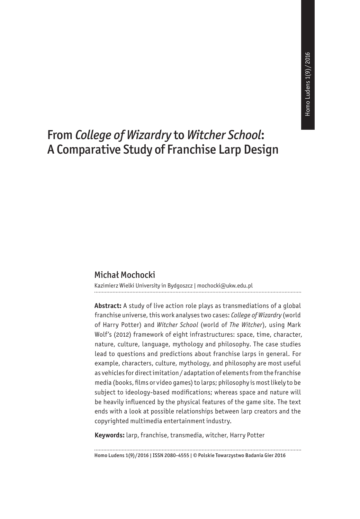# From *College of Wizardry* to *Witcher School*: A Comparative Study of Franchise Larp Design

#### Michał Mochocki

Kazimierz Wielki University in Bydgoszcz | mochocki@ukw.edu.pl

**Abstract:** A study of live action role plays as transmediations of a global franchise universe, this work analyses two cases: *College of Wizardry* (world of Harry Potter) and *Witcher School* (world of *The Witcher*), using Mark Wolf's (2012) framework of eight infrastructures: space, time, character, nature, culture, language, mythology and philosophy. The case studies lead to questions and predictions about franchise larps in general. For example, characters, culture, mythology, and philosophy are most useful as vehicles for direct imitation/ adaptation of elements from the franchise media (books, films or video games) to larps; philosophy is most likely to be subject to ideology-based modifications; whereas space and nature will be heavily influenced by the physical features of the game site. The text ends with a look at possible relationships between larp creators and the copyrighted multimedia entertainment industry.

**Keywords:** larp, franchise, transmedia, witcher, Harry Potter

Homo Ludens 1(9)/2016 | ISSN 2080-4555 | © Polskie Towarzystwo Badania Gier 2016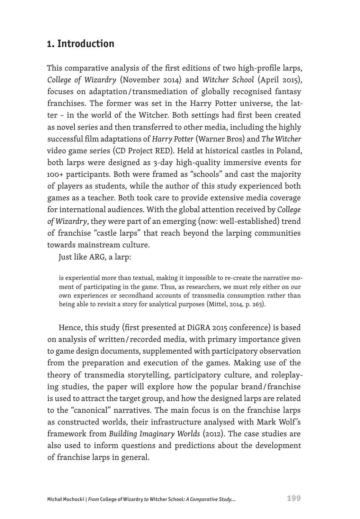## **1. Introduction**

This comparative analysis of the first editions of two high-profile larps, *College of Wizardry* (November 2014) and *Witcher School* (April 2015), focuses on adaptation / transmediation of globally recognised fantasy franchises. The former was set in the Harry Potter universe, the latter – in the world of the Witcher. Both settings had first been created as novel series and then transferred to other media, including the highly successful film adaptations of *Harry Potter* (Warner Bros) and *The Witcher*  video game series (CD Project RED). Held at historical castles in Poland, both larps were designed as 3-day high-quality immersive events for 100+ participants. Both were framed as "schools" and cast the majority of players as students, while the author of this study experienced both games as a teacher. Both took care to provide extensive media coverage for international audiences. With the global attention received by *College of Wizardry*, they were part of an emerging (now: well-established) trend of franchise "castle larps" that reach beyond the larping communities towards mainstream culture.

Just like ARG, a larp:

is experiential more than textual, making it impossible to re-create the narrative moment of participating in the game. Thus, as researchers, we must rely either on our own experiences or secondhand accounts of transmedia consumption rather than being able to revisit a story for analytical purposes (Mittel, 2014, p. 263).

Hence, this study (first presented at DiGRA 2015 conference) is based on analysis of written / recorded media, with primary importance given to game design documents, supplemented with participatory observation from the preparation and execution of the games. Making use of the theory of transmedia storytelling, participatory culture, and roleplaying studies, the paper will explore how the popular brand / franchise is used to attract the target group, and how the designed larps are related to the "canonical" narratives. The main focus is on the franchise larps as constructed worlds, their infrastructure analysed with Mark Wolf's framework from *Building Imaginary Worlds* (2012). The case studies are also used to inform questions and predictions about the development of franchise larps in general.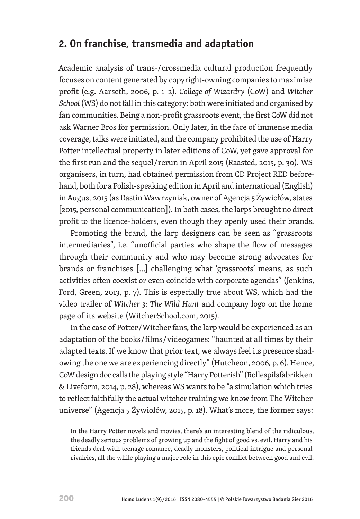## **2. On franchise, transmedia and adaptation**

Academic analysis of trans-/ crossmedia cultural production frequently focuses on content generated by copyright-owning companies to maximise profit (e.g. Aarseth, 2006, p. 1–2). *College of Wizardry* (CoW) and *Witcher School* (WS) do not fall in this category: both were initiated and organised by fan communities. Being a non-profit grassroots event, the first CoW did not ask Warner Bros for permission. Only later, in the face of immense media coverage, talks were initiated, and the company prohibited the use of Harry Potter intellectual property in later editions of CoW, yet gave approval for the first run and the sequel / rerun in April 2015 (Raasted, 2015, p. 30). WS organisers, in turn, had obtained permission from CD Project RED beforehand, both for a Polish-speaking edition in April and international (English) in August 2015 (as Dastin Wawrzyniak, owner of Agencja 5 Żywiołów, states [2015, personal communication]). In both cases, the larps brought no direct profit to the licence-holders, even though they openly used their brands.

Promoting the brand, the larp designers can be seen as "grassroots intermediaries", i.e. "unofficial parties who shape the flow of messages through their community and who may become strong advocates for brands or franchises […] challenging what 'grassroots' means, as such activities often coexist or even coincide with corporate agendas" (Jenkins, Ford, Green, 2013, p. 7). This is especially true about WS, which had the video trailer of *Witcher 3: The Wild Hunt* and company logo on the home page of its website (WitcherSchool.com, 2015).

In the case of Potter / Witcher fans, the larp would be experienced as an adaptation of the books / films / videogames: "haunted at all times by their adapted texts. If we know that prior text, we always feel its presence shadowing the one we are experiencing directly" (Hutcheon, 2006, p. 6). Hence, CoW design doc calls the playing style "Harry Potterish" (Rollespilsfabrikken & Liveform, 2014, p. 28), whereas WS wants to be "a simulation which tries to reflect faithfully the actual witcher training we know from The Witcher universe" (Agencja 5 Żywiołów, 2015, p. 18). What's more, the former says:

In the Harry Potter novels and movies, there's an interesting blend of the ridiculous, the deadly serious problems of growing up and the fight of good vs. evil. Harry and his friends deal with teenage romance, deadly monsters, political intrigue and personal rivalries, all the while playing a major role in this epic conflict between good and evil.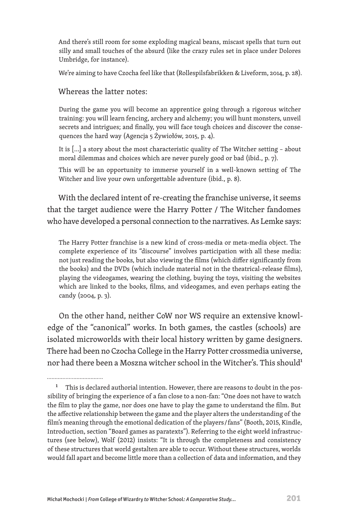And there's still room for some exploding magical beans, miscast spells that turn out silly and small touches of the absurd (like the crazy rules set in place under Dolores Umbridge, for instance).

We're aiming to have Czocha feel like that (Rollespilsfabrikken & Liveform, 2014, p. 28).

#### Whereas the latter notes:

During the game you will become an apprentice going through a rigorous witcher training: you will learn fencing, archery and alchemy; you will hunt monsters, unveil secrets and intrigues; and finally, you will face tough choices and discover the consequences the hard way (Agencja 5 Żywiołów, 2015, p. 4).

It is [...] a story about the most characteristic quality of The Witcher setting – about moral dilemmas and choices which are never purely good or bad (ibid., p. 7).

This will be an opportunity to immerse yourself in a well-known setting of The Witcher and live your own unforgettable adventure (ibid., p. 8).

With the declared intent of re-creating the franchise universe, it seems that the target audience were the Harry Potter / The Witcher fandomes who have developed a personal connection to the narratives. As Lemke says:

The Harry Potter franchise is a new kind of cross-media or meta-media object. The complete experience of its "discourse" involves participation with all these media: not just reading the books, but also viewing the films (which differ significantly from the books) and the DVDs (which include material not in the theatrical-release films), playing the videogames, wearing the clothing, buying the toys, visiting the websites which are linked to the books, films, and videogames, and even perhaps eating the candy (2004, p. 3).

On the other hand, neither CoW nor WS require an extensive knowledge of the "canonical" works. In both games, the castles (schools) are isolated microworlds with their local history written by game designers. There had been no Czocha College in the Harry Potter crossmedia universe, nor had there been a Moszna witcher school in the Witcher's. This should<sup>1</sup>

<sup>&</sup>lt;sup>1</sup> This is declared authorial intention. However, there are reasons to doubt in the possibility of bringing the experience of a fan close to a non-fan: "One does not have to watch the film to play the game, nor does one have to play the game to understand the film. But the affective relationship between the game and the player alters the understanding of the film's meaning through the emotional dedication of the players / fans" (Booth, 2015, Kindle, Introduction, section "Board games as paratexts"). Referring to the eight world infrastructures (see below), Wolf (2012) insists: "It is through the completeness and consistency of these structures that world gestalten are able to occur. Without these structures, worlds would fall apart and become little more than a collection of data and information, and they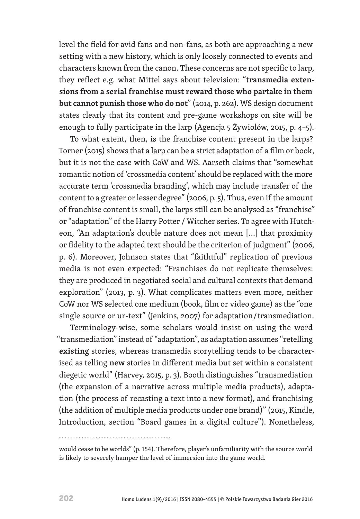level the field for avid fans and non-fans, as both are approaching a new setting with a new history, which is only loosely connected to events and characters known from the canon. These concerns are not specific to larp, they reflect e.g. what Mittel says about television: "**transmedia extensions from a serial franchise must reward those who partake in them but cannot punish those who do not**" (2014, p. 262). WS design document states clearly that its content and pre-game workshops on site will be enough to fully participate in the larp (Agencja 5 Żywiołów, 2015, p. 4–5).

To what extent, then, is the franchise content present in the larps? Torner (2015) shows that a larp can be a strict adaptation of a film or book, but it is not the case with CoW and WS. Aarseth claims that "somewhat romantic notion of 'crossmedia content' should be replaced with the more accurate term 'crossmedia branding', which may include transfer of the content to a greater or lesser degree" (2006, p. 5). Thus, even if the amount of franchise content is small, the larps still can be analysed as "franchise" or "adaptation" of the Harry Potter / Witcher series. To agree with Hutcheon, "An adaptation's double nature does not mean […] that proximity or fidelity to the adapted text should be the criterion of judgment" (2006, p. 6). Moreover, Johnson states that "faithtful" replication of previous media is not even expected: "Franchises do not replicate themselves: they are produced in negotiated social and cultural contexts that demand exploration" (2013, p. 3). What complicates matters even more, neither CoW nor WS selected one medium (book, film or video game) as the "one single source or ur-text" (Jenkins, 2007) for adaptation / transmediation.

Terminology-wise, some scholars would insist on using the word "transmediation" instead of "adaptation", as adaptation assumes "retelling **existing** stories, whereas transmedia storytelling tends to be characterised as telling **new** stories in different media but set within a consistent diegetic world" (Harvey, 2015, p. 3). Booth distinguishes "transmediation (the expansion of a narrative across multiple media products), adaptation (the process of recasting a text into a new format), and franchising (the addition of multiple media products under one brand)" (2015, Kindle, Introduction, section "Board games in a digital culture"). Nonetheless,

would cease to be worlds" (p. 154). Therefore, player's unfamiliarity with the source world is likely to severely hamper the level of immersion into the game world.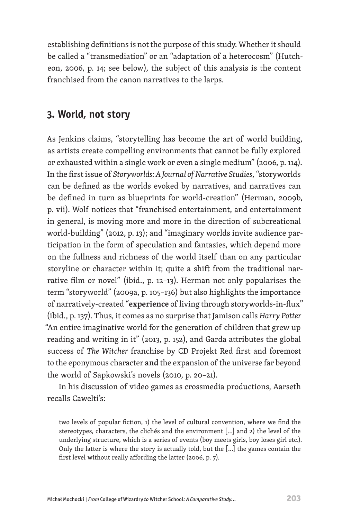establishing definitions is not the purpose of this study. Whether it should be called a "transmediation" or an "adaptation of a heterocosm" (Hutcheon, 2006, p. 14; see below), the subject of this analysis is the content franchised from the canon narratives to the larps.

### **3. World, not story**

As Jenkins claims, "storytelling has become the art of world building, as artists create compelling environments that cannot be fully explored or exhausted within a single work or even a single medium" (2006, p. 114). In the first issue of *Storyworlds: A Journal of Narrative Studies*, "storyworlds can be defined as the worlds evoked by narratives, and narratives can be defined in turn as blueprints for world-creation" (Herman, 2009b, p. vii). Wolf notices that "franchised entertainment, and entertainment in general, is moving more and more in the direction of subcreational world-building" (2012, p. 13); and "imaginary worlds invite audience participation in the form of speculation and fantasies, which depend more on the fullness and richness of the world itself than on any particular storyline or character within it; quite a shift from the traditional narrative film or novel" (ibid., p. 12–13). Herman not only popularises the term "storyworld" (2009a, p. 105–136) but also highlights the importance of narratively-created "**experience** of living through storyworlds-in-flux" (ibid., p. 137). Thus, it comes as no surprise that Jamison calls *Harry Potter*  "An entire imaginative world for the generation of children that grew up reading and writing in it" (2013, p. 152), and Garda attributes the global success of *The Witcher* franchise by CD Projekt Red first and foremost to the eponymous character **and** the expansion of the universe far beyond the world of Sapkowski's novels (2010, p. 20–21).

In his discussion of video games as crossmedia productions, Aarseth recalls Cawelti's:

two levels of popular fiction, 1) the level of cultural convention, where we find the stereotypes, characters, the clichés and the environment […] and 2) the level of the underlying structure, which is a series of events (boy meets girls, boy loses girl etc.). Only the latter is where the story is actually told, but the […] the games contain the first level without really affording the latter (2006, p. 7).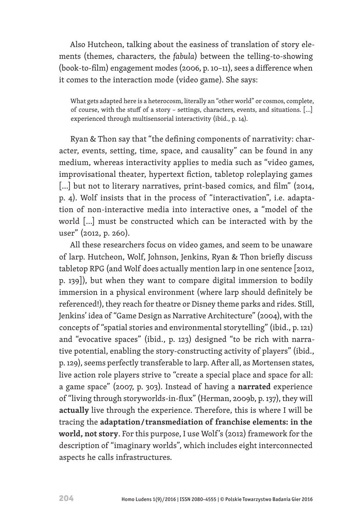Also Hutcheon, talking about the easiness of translation of story elements (themes, characters, the *fabula*) between the telling-to-showing (book-to-film) engagement modes (2006, p. 10–11), sees a difference when it comes to the interaction mode (video game). She says:

What gets adapted here is a heterocosm, literally an "other world" or cosmos, complete, of course, with the stuff of a story – settings, characters, events, and situations. […] experienced through multisensorial interactivity (ibid., p. 14).

Ryan & Thon say that "the defining components of narrativity: character, events, setting, time, space, and causality" can be found in any medium, whereas interactivity applies to media such as "video games, improvisational theater, hypertext fiction, tabletop roleplaying games [...] but not to literary narratives, print-based comics, and film" (2014, p. 4). Wolf insists that in the process of "interactivation", i.e. adaptation of non-interactive media into interactive ones, a "model of the world […] must be constructed which can be interacted with by the user" (2012, p. 260).

All these researchers focus on video games, and seem to be unaware of larp. Hutcheon, Wolf, Johnson, Jenkins, Ryan & Thon briefly discuss tabletop RPG (and Wolf does actually mention larp in one sentence [2012, p. 139]), but when they want to compare digital immersion to bodily immersion in a physical environment (where larp should definitely be referenced!), they reach for theatre or Disney theme parks and rides. Still, Jenkins' idea of "Game Design as Narrative Architecture" (2004), with the concepts of "spatial stories and environmental storytelling" (ibid., p. 121) and "evocative spaces" (ibid., p. 123) designed "to be rich with narrative potential, enabling the story-constructing activity of players" (ibid., p. 129), seems perfectly transferable to larp. After all, as Mortensen states, live action role players strive to "create a special place and space for all: a game space" (2007, p. 303). Instead of having a **narrated** experience of "living through storyworlds-in-flux" (Herman, 2009b, p. 137), they will **actually** live through the experience. Therefore, this is where I will be tracing the **adaptation / transmediation of franchise elements: in the world, not story**. For this purpose, I use Wolf 's (2012) framework for the description of "imaginary worlds", which includes eight interconnected aspects he calls infrastructures.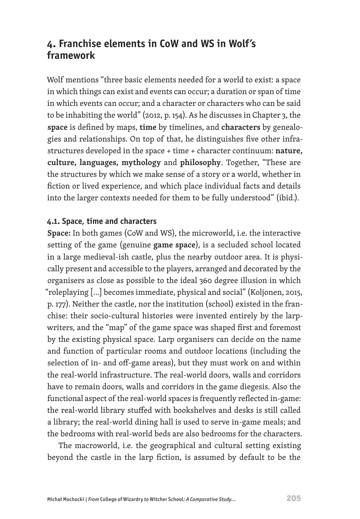## **4. Franchise elements in CoW and WS in Wolf's framework**

Wolf mentions "three basic elements needed for a world to exist: a space in which things can exist and events can occur; a duration or span of time in which events can occur; and a character or characters who can be said to be inhabiting the world" (2012, p. 154). As he discusses in Chapter 3, the **space** is defined by maps, **time** by timelines, and **characters** by genealogies and relationships. On top of that, he distinguishes five other infrastructures developed in the space + time + character continuum: **nature, culture, languages, mythology** and **philosophy**. Together, "These are the structures by which we make sense of a story or a world, whether in fiction or lived experience, and which place individual facts and details into the larger contexts needed for them to be fully understood" (ibid.).

### **4.1. Space, time and characters**

**Space:** In both games (CoW and WS), the microworld, i.e. the interactive setting of the game (genuine **game space**), is a secluded school located in a large medieval-ish castle, plus the nearby outdoor area. It is physically present and accessible to the players, arranged and decorated by the organisers as close as possible to the ideal 360 degree illusion in which "roleplaying […] becomes immediate, physical and social" (Koljonen, 2015, p. 177). Neither the castle, nor the institution (school) existed in the franchise: their socio-cultural histories were invented entirely by the larpwriters, and the "map" of the game space was shaped first and foremost by the existing physical space. Larp organisers can decide on the name and function of particular rooms and outdoor locations (including the selection of in- and off-game areas), but they must work on and within the real-world infrastructure. The real-world doors, walls and corridors have to remain doors, walls and corridors in the game diegesis. Also the functional aspect of the real-world spaces is frequently reflected in-game: the real-world library stuffed with bookshelves and desks is still called a library; the real-world dining hall is used to serve in-game meals; and the bedrooms with real-world beds are also bedrooms for the characters.

The macroworld, i.e. the geographical and cultural setting existing beyond the castle in the larp fiction, is assumed by default to be the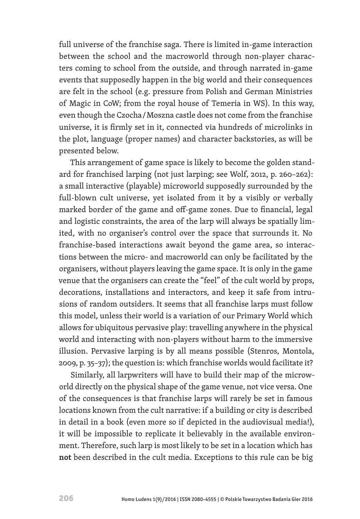full universe of the franchise saga. There is limited in-game interaction between the school and the macroworld through non-player characters coming to school from the outside, and through narrated in-game events that supposedly happen in the big world and their consequences are felt in the school (e.g. pressure from Polish and German Ministries of Magic in CoW; from the royal house of Temeria in WS). In this way, even though the Czocha / Moszna castle does not come from the franchise universe, it is firmly set in it, connected via hundreds of microlinks in the plot, language (proper names) and character backstories, as will be presented below.

This arrangement of game space is likely to become the golden standard for franchised larping (not just larping; see Wolf, 2012, p. 260–262): a small interactive (playable) microworld supposedly surrounded by the full-blown cult universe, yet isolated from it by a visibly or verbally marked border of the game and off-game zones. Due to financial, legal and logistic constraints, the area of the larp will always be spatially limited, with no organiser's control over the space that surrounds it. No franchise-based interactions await beyond the game area, so interactions between the micro- and macroworld can only be facilitated by the organisers, without players leaving the game space. It is only in the game venue that the organisers can create the "feel" of the cult world by props, decorations, installations and interactors, and keep it safe from intrusions of random outsiders. It seems that all franchise larps must follow this model, unless their world is a variation of our Primary World which allows for ubiquitous pervasive play: travelling anywhere in the physical world and interacting with non-players without harm to the immersive illusion. Pervasive larping is by all means possible (Stenros, Montola, 2009, p. 35–37); the question is: which franchise worlds would facilitate it?

Similarly, all larpwriters will have to build their map of the microworld directly on the physical shape of the game venue, not vice versa. One of the consequences is that franchise larps will rarely be set in famous locations known from the cult narrative: if a building or city is described in detail in a book (even more so if depicted in the audiovisual media!), it will be impossible to replicate it believably in the available environment. Therefore, such larp is most likely to be set in a location which has **not** been described in the cult media. Exceptions to this rule can be big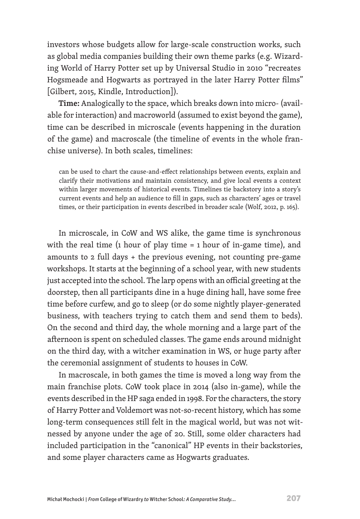investors whose budgets allow for large-scale construction works, such as global media companies building their own theme parks (e.g. Wizarding World of Harry Potter set up by Universal Studio in 2010 "recreates Hogsmeade and Hogwarts as portrayed in the later Harry Potter films" [Gilbert, 2015, Kindle, Introduction]).

**Time:** Analogically to the space, which breaks down into micro- (available for interaction) and macroworld (assumed to exist beyond the game), time can be described in microscale (events happening in the duration of the game) and macroscale (the timeline of events in the whole franchise universe). In both scales, timelines:

can be used to chart the cause-and-effect relationships between events, explain and clarify their motivations and maintain consistency, and give local events a context within larger movements of historical events. Timelines tie backstory into a story's current events and help an audience to fill in gaps, such as characters' ages or travel times, or their participation in events described in broader scale (Wolf, 2012, p. 165).

In microscale, in CoW and WS alike, the game time is synchronous with the real time (1 hour of play time = 1 hour of in-game time), and amounts to 2 full days + the previous evening, not counting pre-game workshops. It starts at the beginning of a school year, with new students just accepted into the school. The larp opens with an official greeting at the doorstep, then all participants dine in a huge dining hall, have some free time before curfew, and go to sleep (or do some nightly player-generated business, with teachers trying to catch them and send them to beds). On the second and third day, the whole morning and a large part of the afternoon is spent on scheduled classes. The game ends around midnight on the third day, with a witcher examination in WS, or huge party after the ceremonial assignment of students to houses in CoW.

In macroscale, in both games the time is moved a long way from the main franchise plots. CoW took place in 2014 (also in-game), while the events described in the HP saga ended in 1998. For the characters, the story of Harry Potter and Voldemort was not-so-recent history, which has some long-term consequences still felt in the magical world, but was not witnessed by anyone under the age of 20. Still, some older characters had included participation in the "canonical" HP events in their backstories, and some player characters came as Hogwarts graduates.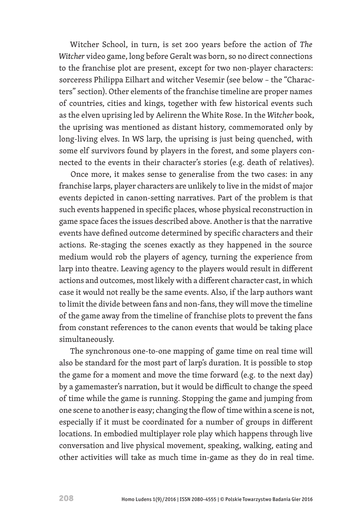Witcher School, in turn, is set 200 years before the action of *The Witcher* video game, long before Geralt was born, so no direct connections to the franchise plot are present, except for two non-player characters: sorceress Philippa Eilhart and witcher Vesemir (see below – the "Characters" section). Other elements of the franchise timeline are proper names of countries, cities and kings, together with few historical events such as the elven uprising led by Aelirenn the White Rose. In the *Witcher* book, the uprising was mentioned as distant history, commemorated only by long-living elves. In WS larp, the uprising is just being quenched, with some elf survivors found by players in the forest, and some players connected to the events in their character's stories (e.g. death of relatives).

Once more, it makes sense to generalise from the two cases: in any franchise larps, player characters are unlikely to live in the midst of major events depicted in canon-setting narratives. Part of the problem is that such events happened in specific places, whose physical reconstruction in game space faces the issues described above. Another is that the narrative events have defined outcome determined by specific characters and their actions. Re-staging the scenes exactly as they happened in the source medium would rob the players of agency, turning the experience from larp into theatre. Leaving agency to the players would result in different actions and outcomes, most likely with a different character cast, in which case it would not really be the same events. Also, if the larp authors want to limit the divide between fans and non-fans, they will move the timeline of the game away from the timeline of franchise plots to prevent the fans from constant references to the canon events that would be taking place simultaneously.

The synchronous one-to-one mapping of game time on real time will also be standard for the most part of larp's duration. It is possible to stop the game for a moment and move the time forward (e.g. to the next day) by a gamemaster's narration, but it would be difficult to change the speed of time while the game is running. Stopping the game and jumping from one scene to another is easy; changing the flow of time within a scene is not, especially if it must be coordinated for a number of groups in different locations. In embodied multiplayer role play which happens through live conversation and live physical movement, speaking, walking, eating and other activities will take as much time in-game as they do in real time.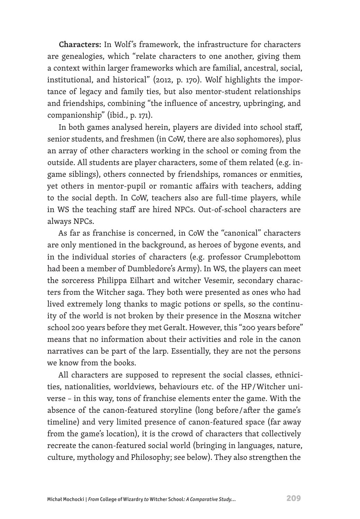**Characters:** In Wolf 's framework, the infrastructure for characters are genealogies, which "relate characters to one another, giving them a context within larger frameworks which are familial, ancestral, social, institutional, and historical" (2012, p. 170). Wolf highlights the importance of legacy and family ties, but also mentor-student relationships and friendships, combining "the influence of ancestry, upbringing, and companionship" (ibid., p. 171).

In both games analysed herein, players are divided into school staff, senior students, and freshmen (in CoW, there are also sophomores), plus an array of other characters working in the school or coming from the outside. All students are player characters, some of them related (e.g. ingame siblings), others connected by friendships, romances or enmities, yet others in mentor-pupil or romantic affairs with teachers, adding to the social depth. In CoW, teachers also are full-time players, while in WS the teaching staff are hired NPCs. Out-of-school characters are always NPCs.

As far as franchise is concerned, in CoW the "canonical" characters are only mentioned in the background, as heroes of bygone events, and in the individual stories of characters (e.g. professor Crumplebottom had been a member of Dumbledore's Army). In WS, the players can meet the sorceress Philippa Eilhart and witcher Vesemir, secondary characters from the Witcher saga. They both were presented as ones who had lived extremely long thanks to magic potions or spells, so the continuity of the world is not broken by their presence in the Moszna witcher school 200 years before they met Geralt. However, this "200 years before" means that no information about their activities and role in the canon narratives can be part of the larp. Essentially, they are not the persons we know from the books.

All characters are supposed to represent the social classes, ethnicities, nationalities, worldviews, behaviours etc. of the HP / Witcher universe – in this way, tons of franchise elements enter the game. With the absence of the canon-featured storyline (long before / after the game's timeline) and very limited presence of canon-featured space (far away from the game's location), it is the crowd of characters that collectively recreate the canon-featured social world (bringing in languages, nature, culture, mythology and Philosophy; see below). They also strengthen the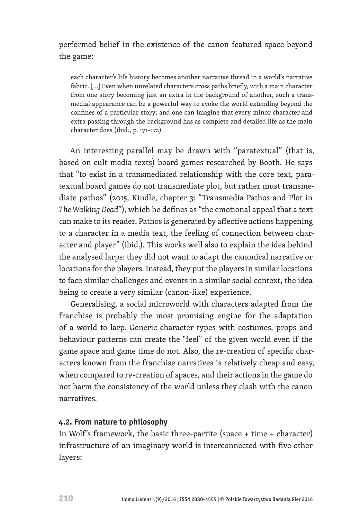### performed belief in the existence of the canon-featured space beyond the game:

each character's life history becomes another narrative thread in a world's narrative fabric. […] Even when unrelated characters cross paths briefly, with a main character from one story becoming just an extra in the background of another, such a transmedial appearance can be a powerful way to evoke the world extending beyond the confines of a particular story; and one can imagine that every minor character and extra passing through the background has as complete and detailed life as the main character does (ibid., p. 171–172).

An interesting parallel may be drawn with "paratextual" (that is, based on cult media texts) board games researched by Booth. He says that "to exist in a transmediated relationship with the core text, paratextual board games do not transmediate plot, but rather must transmediate pathos" (2015, Kindle, chapter 3: "Transmedia Pathos and Plot in *The Walking Dead*"), which he defines as "the emotional appeal that a text can make to its reader. Pathos is generated by affective actions happening to a character in a media text, the feeling of connection between character and player" (ibid.). This works well also to explain the idea behind the analysed larps: they did not want to adapt the canonical narrative or locations for the players. Instead, they put the players in similar locations to face similar challenges and events in a similar social context, the idea being to create a very similar (canon-like) experience.

Generalising, a social microworld with characters adapted from the franchise is probably the most promising engine for the adaptation of a world to larp. Generic character types with costumes, props and behaviour patterns can create the "feel" of the given world even if the game space and game time do not. Also, the re-creation of specific characters known from the franchise narratives is relatively cheap and easy, when compared to re-creation of spaces, and their actions in the game do not harm the consistency of the world unless they clash with the canon narratives.

#### **4.2. From nature to philosophy**

In Wolf 's framework, the basic three-partite (space + time + character) infrastructure of an imaginary world is interconnected with five other layers: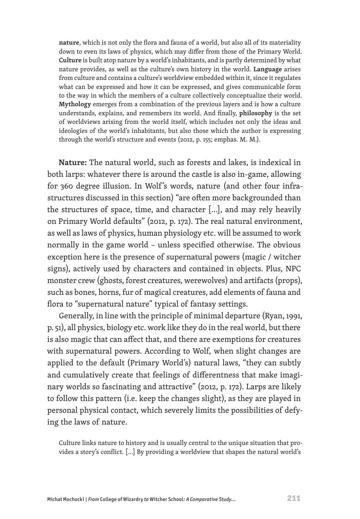**nature**, which is not only the flora and fauna of a world, but also all of its materiality down to even its laws of physics, which may differ from those of the Primary World. **Culture** is built atop nature by a world's inhabitants, and is partly determined by what nature provides, as well as the culture's own history in the world. **Language** arises from culture and contains a culture's worldview embedded within it, since it regulates what can be expressed and how it can be expressed, and gives communicable form to the way in which the members of a culture collectively conceptualize their world. **Mythology** emerges from a combination of the previous layers and is how a culture understands, explains, and remembers its world. And finally, **philosophy** is the set of worldviews arising from the world itself, which includes not only the ideas and ideologies of the world's inhabitants, but also those which the author is expressing through the world's structure and events (2012, p. 155; emphas. M. M.).

**Nature:** The natural world, such as forests and lakes, is indexical in both larps: whatever there is around the castle is also in-game, allowing for 360 degree illusion. In Wolf 's words, nature (and other four infrastructures discussed in this section) "are often more backgrounded than the structures of space, time, and character […], and may rely heavily on Primary World defaults" (2012, p. 172). The real natural environment, as well as laws of physics, human physiology etc. will be assumed to work normally in the game world – unless specified otherwise. The obvious exception here is the presence of supernatural powers (magic / witcher signs), actively used by characters and contained in objects. Plus, NPC monster crew (ghosts, forest creatures, werewolves) and artifacts (props), such as bones, horns, fur of magical creatures, add elements of fauna and flora to "supernatural nature" typical of fantasy settings.

Generally, in line with the principle of minimal departure (Ryan, 1991, p. 51), all physics, biology etc. work like they do in the real world, but there is also magic that can affect that, and there are exemptions for creatures with supernatural powers. According to Wolf, when slight changes are applied to the default (Primary World's) natural laws, "they can subtly and cumulatively create that feelings of differentness that make imaginary worlds so fascinating and attractive" (2012, p. 172). Larps are likely to follow this pattern (i.e. keep the changes slight), as they are played in personal physical contact, which severely limits the possibilities of defying the laws of nature.

Culture links nature to history and is usually central to the unique situation that provides a story's conflict. […] By providing a worldview that shapes the natural world's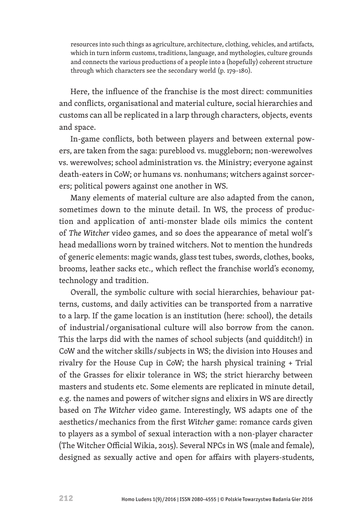resources into such things as agriculture, architecture, clothing, vehicles, and artifacts, which in turn inform customs, traditions, language, and mythologies, culture grounds and connects the various productions of a people into a (hopefully) coherent structure through which characters see the secondary world (p. 179–180).

Here, the influence of the franchise is the most direct: communities and conflicts, organisational and material culture, social hierarchies and customs can all be replicated in a larp through characters, objects, events and space.

In-game conflicts, both between players and between external powers, are taken from the saga: pureblood vs. muggleborn; non-werewolves vs. werewolves; school administration vs. the Ministry; everyone against death-eaters in CoW; or humans vs. nonhumans; witchers against sorcerers; political powers against one another in WS.

Many elements of material culture are also adapted from the canon, sometimes down to the minute detail. In WS, the process of production and application of anti-monster blade oils mimics the content of *The Witcher* video games, and so does the appearance of metal wolf 's head medallions worn by trained witchers. Not to mention the hundreds of generic elements: magic wands, glass test tubes, swords, clothes, books, brooms, leather sacks etc., which reflect the franchise world's economy, technology and tradition.

Overall, the symbolic culture with social hierarchies, behaviour patterns, customs, and daily activities can be transported from a narrative to a larp. If the game location is an institution (here: school), the details of industrial / organisational culture will also borrow from the canon. This the larps did with the names of school subjects (and quidditch!) in CoW and the witcher skills / subjects in WS; the division into Houses and rivalry for the House Cup in CoW; the harsh physical training + Trial of the Grasses for elixir tolerance in WS; the strict hierarchy between masters and students etc. Some elements are replicated in minute detail, e.g. the names and powers of witcher signs and elixirs in WS are directly based on *The Witcher* video game. Interestingly, WS adapts one of the aesthetics / mechanics from the first *Witcher* game: romance cards given to players as a symbol of sexual interaction with a non-player character (The Witcher Official Wikia, 2015). Several NPCs in WS (male and female), designed as sexually active and open for affairs with players-students,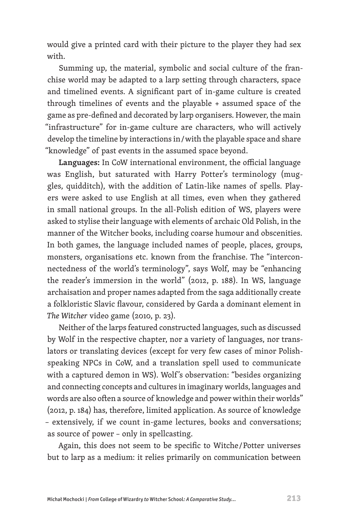would give a printed card with their picture to the player they had sex with.

Summing up, the material, symbolic and social culture of the franchise world may be adapted to a larp setting through characters, space and timelined events. A significant part of in-game culture is created through timelines of events and the playable + assumed space of the game as pre-defined and decorated by larp organisers. However, the main "infrastructure" for in-game culture are characters, who will actively develop the timeline by interactions in / with the playable space and share "knowledge" of past events in the assumed space beyond.

**Languages:** In CoW international environment, the official language was English, but saturated with Harry Potter's terminology (muggles, quidditch), with the addition of Latin-like names of spells. Players were asked to use English at all times, even when they gathered in small national groups. In the all-Polish edition of WS, players were asked to stylise their language with elements of archaic Old Polish, in the manner of the Witcher books, including coarse humour and obscenities. In both games, the language included names of people, places, groups, monsters, organisations etc. known from the franchise. The "interconnectedness of the world's terminology", says Wolf, may be "enhancing the reader's immersion in the world" (2012, p. 188). In WS, language archaisation and proper names adapted from the saga additionally create a folkloristic Slavic flavour, considered by Garda a dominant element in *The Witcher* video game (2010, p. 23).

Neither of the larps featured constructed languages, such as discussed by Wolf in the respective chapter, nor a variety of languages, nor translators or translating devices (except for very few cases of minor Polishspeaking NPCs in CoW, and a translation spell used to communicate with a captured demon in WS). Wolf 's observation: "besides organizing and connecting concepts and cultures in imaginary worlds, languages and words are also often a source of knowledge and power within their worlds" (2012, p. 184) has, therefore, limited application. As source of knowledge – extensively, if we count in-game lectures, books and conversations; as source of power – only in spellcasting.

Again, this does not seem to be specific to Witche / Potter universes but to larp as a medium: it relies primarily on communication between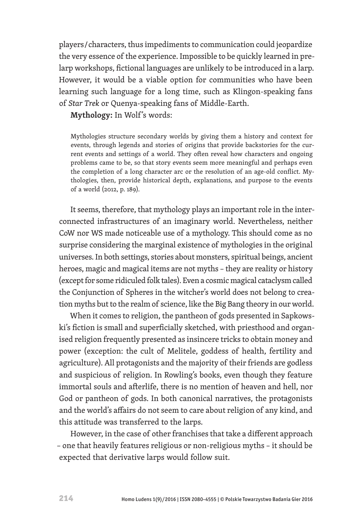players / characters, thus impediments to communication could jeopardize the very essence of the experience. Impossible to be quickly learned in prelarp workshops, fictional languages are unlikely to be introduced in a larp. However, it would be a viable option for communities who have been learning such language for a long time, such as Klingon-speaking fans of *Star Trek* or Quenya-speaking fans of Middle-Earth.

**Mythology:** In Wolf 's words:

Mythologies structure secondary worlds by giving them a history and context for events, through legends and stories of origins that provide backstories for the current events and settings of a world. They often reveal how characters and ongoing problems came to be, so that story events seem more meaningful and perhaps even the completion of a long character arc or the resolution of an age-old conflict. Mythologies, then, provide historical depth, explanations, and purpose to the events of a world (2012, p. 189).

It seems, therefore, that mythology plays an important role in the interconnected infrastructures of an imaginary world. Nevertheless, neither CoW nor WS made noticeable use of a mythology. This should come as no surprise considering the marginal existence of mythologies in the original universes. In both settings, stories about monsters, spiritual beings, ancient heroes, magic and magical items are not myths – they are reality or history (except for some ridiculed folk tales). Even a cosmic magical cataclysm called the Conjunction of Spheres in the witcher's world does not belong to creation myths but to the realm of science, like the Big Bang theory in our world.

When it comes to religion, the pantheon of gods presented in Sapkowski's fiction is small and superficially sketched, with priesthood and organised religion frequently presented as insincere tricks to obtain money and power (exception: the cult of Melitele, goddess of health, fertility and agriculture). All protagonists and the majority of their friends are godless and suspicious of religion. In Rowling's books, even though they feature immortal souls and afterlife, there is no mention of heaven and hell, nor God or pantheon of gods. In both canonical narratives, the protagonists and the world's affairs do not seem to care about religion of any kind, and this attitude was transferred to the larps.

However, in the case of other franchises that take a different approach – one that heavily features religious or non-religious myths – it should be expected that derivative larps would follow suit.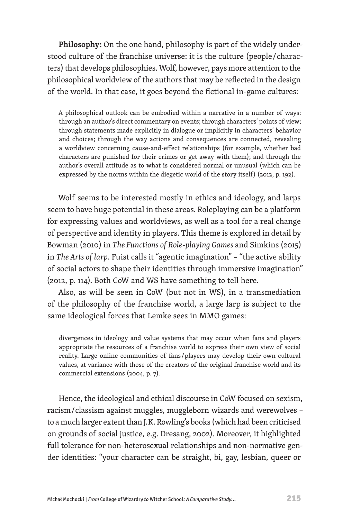**Philosophy:** On the one hand, philosophy is part of the widely understood culture of the franchise universe: it is the culture (people / characters) that develops philosophies. Wolf, however, pays more attention to the philosophical worldview of the authors that may be reflected in the design of the world. In that case, it goes beyond the fictional in-game cultures:

A philosophical outlook can be embodied within a narrative in a number of ways: through an author's direct commentary on events; through characters' points of view; through statements made explicitly in dialogue or implicitly in characters' behavior and choices; through the way actions and consequences are connected, revealing a worldview concerning cause-and-effect relationships (for example, whether bad characters are punished for their crimes or get away with them); and through the author's overall attitude as to what is considered normal or unusual (which can be expressed by the norms within the diegetic world of the story itself) (2012, p. 192).

Wolf seems to be interested mostly in ethics and ideology, and larps seem to have huge potential in these areas. Roleplaying can be a platform for expressing values and worldviews, as well as a tool for a real change of perspective and identity in players. This theme is explored in detail by Bowman (2010) in *The Functions of Role-playing Games* and Simkins (2015) in *The Arts of larp*. Fuist calls it "agentic imagination" – "the active ability of social actors to shape their identities through immersive imagination" (2012, p. 114). Both CoW and WS have something to tell here.

Also, as will be seen in CoW (but not in WS), in a transmediation of the philosophy of the franchise world, a large larp is subject to the same ideological forces that Lemke sees in MMO games:

divergences in ideology and value systems that may occur when fans and players appropriate the resources of a franchise world to express their own view of social reality. Large online communities of fans / players may develop their own cultural values, at variance with those of the creators of the original franchise world and its commercial extensions (2004, p. 7).

Hence, the ideological and ethical discourse in CoW focused on sexism, racism / classism against muggles, muggleborn wizards and werewolves – to a much larger extent than J. K. Rowling's books (which had been criticised on grounds of social justice, e.g. Dresang, 2002). Moreover, it highlighted full tolerance for non-heterosexual relationships and non-normative gender identities: "your character can be straight, bi, gay, lesbian, queer or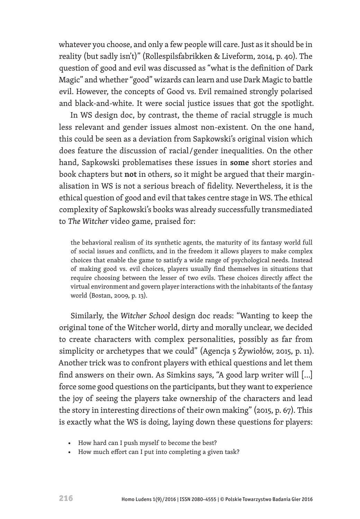whatever you choose, and only a few people will care. Just as it should be in reality (but sadly isn't)" (Rollespilsfabrikken & Liveform, 2014, p. 40). The question of good and evil was discussed as "what is the definition of Dark Magic" and whether "good" wizards can learn and use Dark Magic to battle evil. However, the concepts of Good vs. Evil remained strongly polarised and black-and-white. It were social justice issues that got the spotlight.

In WS design doc, by contrast, the theme of racial struggle is much less relevant and gender issues almost non-existent. On the one hand, this could be seen as a deviation from Sapkowski's original vision which does feature the discussion of racial / gender inequalities. On the other hand, Sapkowski problematises these issues in **some** short stories and book chapters but **not** in others, so it might be argued that their marginalisation in WS is not a serious breach of fidelity. Nevertheless, it is the ethical question of good and evil that takes centre stage in WS. The ethical complexity of Sapkowski's books was already successfully transmediated to *The Witcher* video game, praised for:

the behavioral realism of its synthetic agents, the maturity of its fantasy world full of social issues and conflicts, and in the freedom it allows players to make complex choices that enable the game to satisfy a wide range of psychological needs. Instead of making good vs. evil choices, players usually find themselves in situations that require choosing between the lesser of two evils. These choices directly affect the virtual environment and govern player interactions with the inhabitants of the fantasy world (Bostan, 2009, p. 13).

Similarly, the *Witcher School* design doc reads: "Wanting to keep the original tone of the Witcher world, dirty and morally unclear, we decided to create characters with complex personalities, possibly as far from simplicity or archetypes that we could" (Agencja 5 Żywiołów, 2015, p. 11). Another trick was to confront players with ethical questions and let them find answers on their own. As Simkins says, "A good larp writer will […] force some good questions on the participants, but they want to experience the joy of seeing the players take ownership of the characters and lead the story in interesting directions of their own making" (2015, p. 67). This is exactly what the WS is doing, laying down these questions for players:

- How hard can I push myself to become the best?
- How much effort can I put into completing a given task?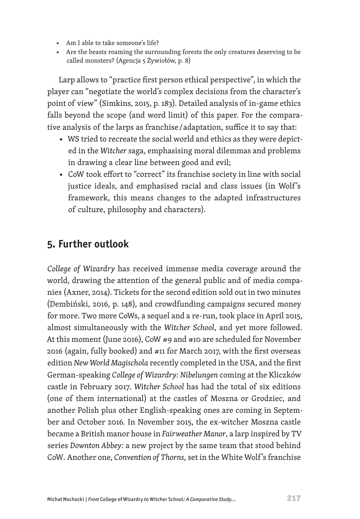- Am I able to take someone's life?
- Are the beasts roaming the surrounding forests the only creatures deserving to be called monsters? (Agencja 5 Żywiołów, p. 8)

Larp allows to "practice first person ethical perspective", in which the player can "negotiate the world's complex decisions from the character's point of view" (Simkins, 2015, p. 183). Detailed analysis of in-game ethics falls beyond the scope (and word limit) of this paper. For the comparative analysis of the larps as franchise / adaptation, suffice it to say that:

- WS tried to recreate the social world and ethics as they were depicted in the *Witcher* saga, emphasising moral dilemmas and problems in drawing a clear line between good and evil;
- CoW took effort to "correct" its franchise society in line with social justice ideals, and emphasised racial and class issues (in Wolf's framework, this means changes to the adapted infrastructures of culture, philosophy and characters).

## **5. Further outlook**

*College of Wizardry* has received immense media coverage around the world, drawing the attention of the general public and of media companies (Axner, 2014). Tickets for the second edition sold out in two minutes (Dembiński, 2016, p. 148), and crowdfunding campaigns secured money for more. Two more CoWs, a sequel and a re-run, took place in April 2015, almost simultaneously with the *Witcher School*, and yet more followed. At this moment (June 2016), CoW #9 and #10 are scheduled for November 2016 (again, fully booked) and #11 for March 2017, with the first overseas edition *New World Magischola* recently completed in the USA, and the first German-speaking *College of Wizardry: Nibelungen* coming at the Kliczków castle in February 2017*. Witcher School* has had the total of six editions (one of them international) at the castles of Moszna or Grodziec, and another Polish plus other English-speaking ones are coming in September and October 2016. In November 2015, the ex-witcher Moszna castle became a British manor house in *Fairweather Manor*, a larp inspired by TV series *Downton Abbey*: a new project by the same team that stood behind CoW*.* Another one, *Convention of Thorns*, set in the White Wolf 's franchise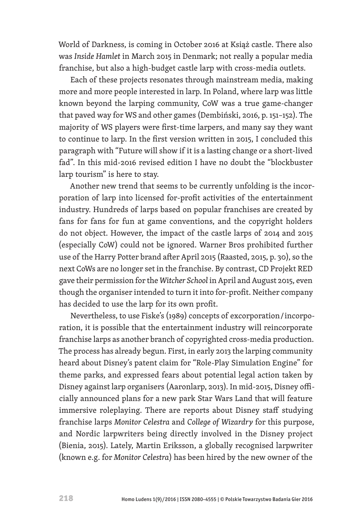World of Darkness, is coming in October 2016 at Książ castle. There also was *Inside Hamlet* in March 2015 in Denmark; not really a popular media franchise, but also a high-budget castle larp with cross-media outlets.

Each of these projects resonates through mainstream media, making more and more people interested in larp. In Poland, where larp was little known beyond the larping community, CoW was a true game-changer that paved way for WS and other games (Dembiński, 2016, p. 151–152). The majority of WS players were first-time larpers, and many say they want to continue to larp. In the first version written in 2015, I concluded this paragraph with "Future will show if it is a lasting change or a short-lived fad". In this mid-2016 revised edition I have no doubt the "blockbuster larp tourism" is here to stay.

Another new trend that seems to be currently unfolding is the incorporation of larp into licensed for-profit activities of the entertainment industry. Hundreds of larps based on popular franchises are created by fans for fans for fun at game conventions, and the copyright holders do not object. However, the impact of the castle larps of 2014 and 2015 (especially CoW) could not be ignored. Warner Bros prohibited further use of the Harry Potter brand after April 2015 (Raasted, 2015, p. 30), so the next CoWs are no longer set in the franchise. By contrast, CD Projekt RED gave their permission for the *Witcher School* in April and August 2015, even though the organiser intended to turn it into for-profit. Neither company has decided to use the larp for its own profit.

Nevertheless, to use Fiske's (1989) concepts of excorporation / incorporation, it is possible that the entertainment industry will reincorporate franchise larps as another branch of copyrighted cross-media production. The process has already begun. First, in early 2013 the larping community heard about Disney's patent claim for "Role-Play Simulation Engine" for theme parks, and expressed fears about potential legal action taken by Disney against larp organisers (Aaronlarp, 2013). In mid-2015, Disney officially announced plans for a new park Star Wars Land that will feature immersive roleplaying. There are reports about Disney staff studying franchise larps *Monitor Celestra* and *College of Wizardry* for this purpose, and Nordic larpwriters being directly involved in the Disney project (Bienia, 2015). Lately, Martin Eriksson, a globally recognised larpwriter (known e.g. for *Monitor Celestra*) has been hired by the new owner of the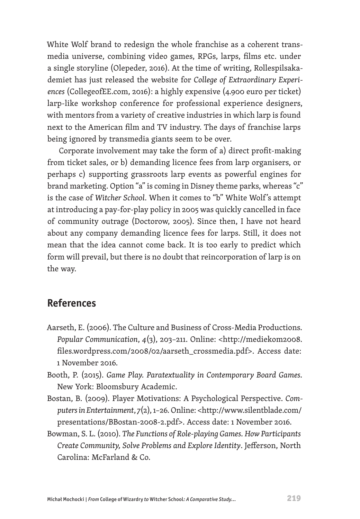White Wolf brand to redesign the whole franchise as a coherent transmedia universe, combining video games, RPGs, larps, films etc. under a single storyline (Olepeder, 2016). At the time of writing, Rollespilsakademiet has just released the website for *College of Extraordinary Experiences* (CollegeofEE.com, 2016): a highly expensive (4.900 euro per ticket) larp-like workshop conference for professional experience designers, with mentors from a variety of creative industries in which larp is found next to the American film and TV industry. The days of franchise larps being ignored by transmedia giants seem to be over.

Corporate involvement may take the form of a) direct profit-making from ticket sales, or b) demanding licence fees from larp organisers, or perhaps c) supporting grassroots larp events as powerful engines for brand marketing. Option "a" is coming in Disney theme parks, whereas "c" is the case of *Witcher School*. When it comes to "b" White Wolf 's attempt at introducing a pay-for-play policy in 2005 was quickly cancelled in face of community outrage (Doctorow, 2005). Since then, I have not heard about any company demanding licence fees for larps. Still, it does not mean that the idea cannot come back. It is too early to predict which form will prevail, but there is no doubt that reincorporation of larp is on the way.

## **References**

- Aarseth, E. (2006). The Culture and Business of Cross-Media Productions. *Popular Communication*, *4*(3), 203–211. Online: <http://mediekom2008. files.wordpress.com/2008/02/aarseth\_crossmedia.pdf>. Access date: 1 November 2016.
- Booth, P. (2015). *Game Play. Paratextuality in Contemporary Board Games.* New York: Bloomsbury Academic.
- Bostan, B. (2009). Player Motivations: A Psychological Perspective. *Computers in Entertainment*, *7*(2), 1–26. Online: <http://www.silentblade.com/ presentations/BBostan-2008-2.pdf>. Access date: 1 November 2016.
- Bowman, S. L. (2010). *The Functions of Role-playing Games. How Participants Create Community, Solve Problems and Explore Identity*. Jefferson, North Carolina: McFarland & Co.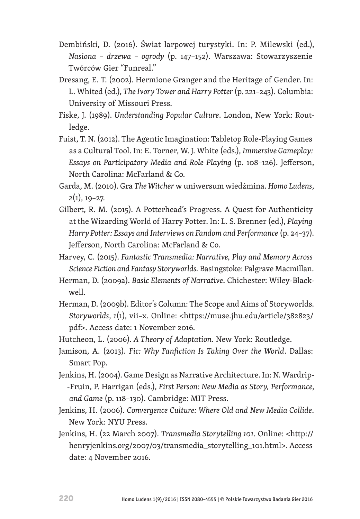- Dembiński, D. (2016). Świat larpowej turystyki. In: P. Milewski (ed.), *Nasiona – drzewa – ogrody* (p. 147–152)*.* Warszawa: Stowarzyszenie Twórców Gier "Funreal."
- Dresang, E. T. (2002). Hermione Granger and the Heritage of Gender. In: L. Whited (ed.), *The Ivory Tower and Harry Potter* (p. 221–243)*.* Columbia: University of Missouri Press.
- Fiske, J. (1989). *Understanding Popular Culture*. London, New York: Routledge.
- Fuist, T. N. (2012). The Agentic Imagination: Tabletop Role-Playing Games as a Cultural Tool. In: E. Torner, W. J. White (eds.), *Immersive Gameplay: Essays on Participatory Media and Role Playing* (p. 108–126). Jefferson, North Carolina: McFarland & Co.
- Garda, M. (2010). Gra *The Witcher* w uniwersum wiedźmina. *Homo Ludens*, *2*(1), 19–27.
- Gilbert, R. M. (2015). A Potterhead's Progress. A Quest for Authenticity at the Wizarding World of Harry Potter. In: L. S. Brenner (ed.), *Playing Harry Potter: Essays and Interviews on Fandom and Performance* (p. 24–37). Jefferson, North Carolina: McFarland & Co.
- Harvey, C. (2015). *Fantastic Transmedia: Narrative, Play and Memory Across Science Fiction and Fantasy Storyworlds.* Basingstoke: Palgrave Macmillan.
- Herman, D. (2009a). *Basic Elements of Narrative*. Chichester: Wiley-Blackwell.
- Herman, D. (2009b). Editor's Column: The Scope and Aims of Storyworlds. *Storyworlds*, *1*(1), vii–x. Online: <https://muse.jhu.edu/article/382823/ pdf>. Access date: 1 November 2016.
- Hutcheon, L. (2006). *A Theory of Adaptation*. New York: Routledge.
- Jamison, A. (2013). *Fic: Why Fanfiction Is Taking Over the World*. Dallas: Smart Pop.
- Jenkins, H. (2004). Game Design as Narrative Architecture. In: N. Wardrip- -Fruin, P. Harrigan (eds.), *First Person: New Media as Story, Performance, and Game* (p. 118–130). Cambridge: MIT Press.
- Jenkins, H. (2006). *Convergence Culture: Where Old and New Media Collide*. New York: NYU Press.
- Jenkins, H. (22 March 2007). *Transmedia Storytelling 101*. Online: <http:// henryjenkins.org/2007/03/transmedia\_storytelling\_101.html>. Access date: 4 November 2016.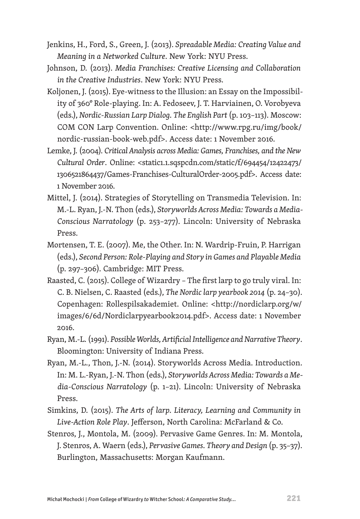- Jenkins, H., Ford, S., Green, J. (2013). *Spreadable Media: Creating Value and Meaning in a Networked Culture*. New York: NYU Press.
- Johnson, D. (2013). *Media Franchises: Creative Licensing and Collaboration in the Creative Industries*. New York: NYU Press.
- Koljonen, J. (2015). Eye-witness to the Illusion: an Essay on the Impossibility of 360° Role-playing. In: A. Fedoseev, J. T. Harviainen, O. Vorobyeva (eds.), *Nordic-Russian Larp Dialog. The English Part* (p. 103–113). Moscow: COM CON Larp Convention. Online: <http://www.rpg.ru/img/book/ nordic-russian-book-web.pdf>. Access date: 1 November 2016.
- Lemke, J. (2004). *Critical Analysis across Media: Games, Franchises, and the New Cultural Order*. Online: <static1.1.sqspcdn.com/static/f/694454/12422473/ 1306521864437/Games-Franchises-CulturalOrder-2005.pdf>. Access date: 1 November 2016.
- Mittel, J. (2014). Strategies of Storytelling on Transmedia Television. In: M.-L. Ryan, J.-N. Thon (eds.), *Storyworlds Across Media: Towards a Media-Conscious Narratology* (p. 253–277). Lincoln: University of Nebraska Press.
- Mortensen, T. E. (2007). Me, the Other. In: N. Wardrip-Fruin, P. Harrigan (eds.), *Second Person: Role-Playing and Story in Games and Playable Media* (p. 297–306). Cambridge: MIT Press.
- Raasted, C. (2015). College of Wizardry The first larp to go truly viral. In: C. B. Nielsen, C. Raasted (eds.), *The Nordic larp yearbook 2014* (p. 24–30). Copenhagen: Rollespilsakademiet. Online: <http://nordiclarp.org/w/ images/6/6d/Nordiclarpyearbook2014.pdf>. Access date: 1 November 2016.
- Ryan, M.-L. (1991). *Possible Worlds, Artificial Intelligence and Narrative Theory*. Bloomington: University of Indiana Press.
- Ryan, M.-L., Thon, J.-N. (2014). Storyworlds Across Media. Introduction. In: M. L.-Ryan, J.-N. Thon (eds.), *Storyworlds Across Media: Towards a Media-Conscious Narratology* (p. 1–21). Lincoln: University of Nebraska Press.
- Simkins, D. (2015). *The Arts of larp. Literacy, Learning and Community in Live-Action Role Play*. Jefferson, North Carolina: McFarland & Co.
- Stenros, J., Montola, M. (2009). Pervasive Game Genres. In: M. Montola, J. Stenros, A. Waern (eds.), *Pervasive Games. Theory and Design* (p. 35–37). Burlington, Massachusetts: Morgan Kaufmann.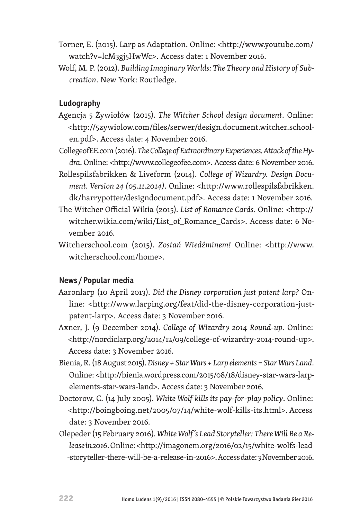- Torner, E. (2015). Larp as Adaptation. Online: <http://www.youtube.com/ watch?v=lcM3gj5HwWc>. Access date: 1 November 2016.
- Wolf, M. P. (2012). *Building Imaginary Worlds: The Theory and History of Subcreation*. New York: Routledge.

#### **Ludography**

- Agencja 5 Żywiołów (2015). *The Witcher School design document*. Online: <http://5zywiolow.com/files/serwer/design.document.witcher.schoolen.pdf>. Access date: 4 November 2016.
- CollegeofEE.com (2016). *The College of Extraordinary Experiences. Attack of the Hydra*. Online: <http://www.collegeofee.com>. Access date: 6 November 2016.
- Rollespilsfabrikken & Liveform (2014). *College of Wizardry. Design Document. Version 24 (05.11.2014)*. Online: <http://www.rollespilsfabrikken. dk/harrypotter/designdocument.pdf>. Access date: 1 November 2016.
- The Witcher Official Wikia (2015). *List of Romance Cards*. Online: <http:// witcher.wikia.com/wiki/List\_of\_Romance\_Cards>. Access date: 6 November 2016.
- Witcherschool.com (2015). *Zostań Wiedźminem!* Online: <http://www. witcherschool.com/home>.

#### **News /Popular media**

- Aaronlarp (10 April 2013). *Did the Disney corporation just patent larp?* Online: <http://www.larping.org/feat/did-the-disney-corporation-justpatent-larp>. Access date: 3 November 2016.
- Axner, J. (9 December 2014). *College of Wizardry 2014 Round-up*. Online: <http://nordiclarp.org/2014/12/09/college-of-wizardry-2014-round-up>. Access date: 3 November 2016.
- Bienia, R. (18 August 2015). *Disney + Star Wars + Larp elements = Star Wars Land*. Online: <http://bienia.wordpress.com/2015/08/18/disney-star-wars-larpelements-star-wars-land>. Access date: 3 November 2016.
- Doctorow, C. (14 July 2005). *White Wolf kills its pay-for-play policy*. Online: <http://boingboing.net/2005/07/14/white-wolf-kills-its.html>. Access date: 3 November 2016.
- Olepeder (15 February 2016). *White Wolf 's Lead Storyteller: There Will Be a Release in 2016*. Online: <http://imagonem.org/2016/02/15/white-wolfs-lead -storyteller-there-will-be-a-release-in-2016>. Access date: 3 November 2016.